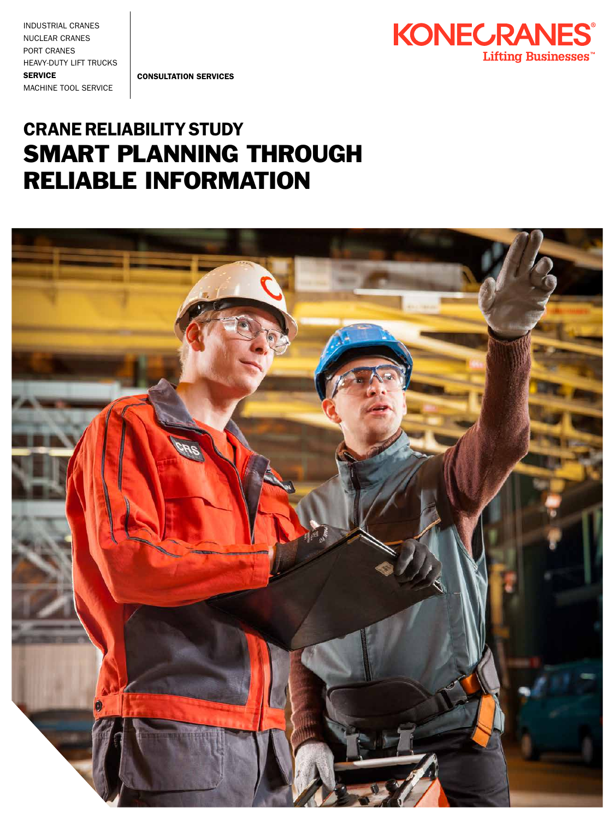INDUSTRIAL CRANES NUCLEAR CRANES PORT CRANES HEAVY-DUTY LIFT TRUCKS **SERVICE** MACHINE TOOL SERVICE

CONSULTATION SERVICES



### CRANE RELIABILITY STUDY SMART PLANNING THROUGH RELIABLE INFORMATION

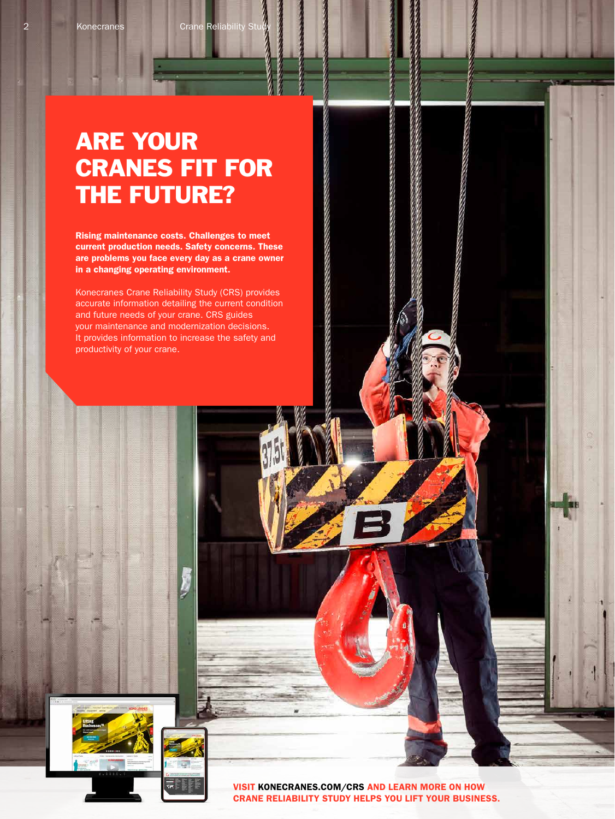## ARE YOUR CRANES FIT FOR THE FUTURE?

Rising maintenance costs. Challenges to meet current production needs. Safety concerns. These are problems you face every day as a crane owner in a changing operating environment.

Konecranes Crane Reliability Study (CRS) provides accurate information detailing the current condition and future needs of your crane. CRS guides your maintenance and modernization decisions. It provides information to increase the safety and productivity of your crane.



VISIT KONECRANES.COM/CRS AND LEARN MORE ON HOW CRANE RELIABILITY STUDY HELPS YOU LIFT YOUR BUSINESS.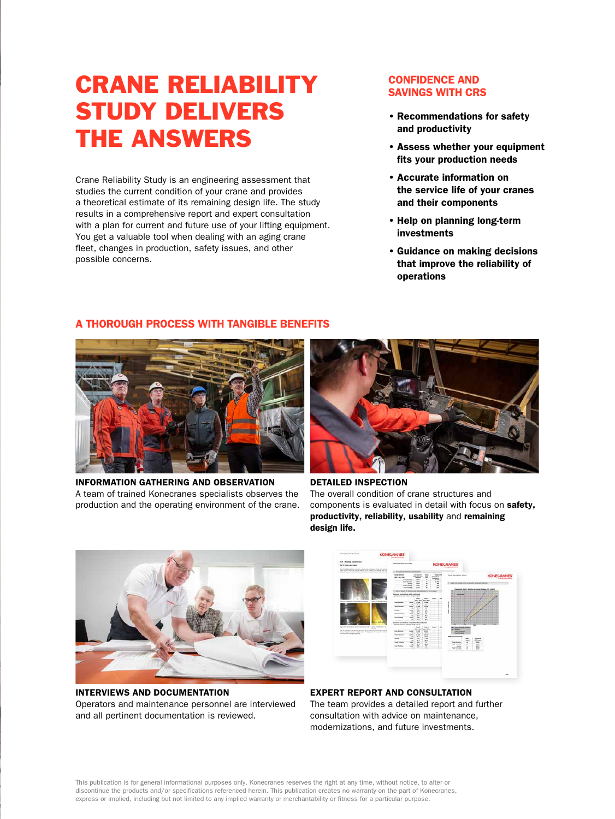# CRANE RELIABILITY STUDY DELIVERS THE ANSWERS

Crane Reliability Study is an engineering assessment that studies the current condition of your crane and provides a theoretical estimate of its remaining design life. The study results in a comprehensive report and expert consultation with a plan for current and future use of your lifting equipment. You get a valuable tool when dealing with an aging crane fleet, changes in production, safety issues, and other possible concerns.

#### CONFIDENCE AND SAVINGS WITH CRS

- Recommendations for safety and productivity
- Assess whether your equipment fits your production needs
- Accurate information on the service life of your cranes and their components
- Help on planning long-term investments
- Guidance on making decisions that improve the reliability of operations

#### A THOROUGH PROCESS WITH TANGIBLE BENEFITS



INFORMATION GATHERING AND OBSERVATION A team of trained Konecranes specialists observes the production and the operating environment of the crane.



DETAILED INSPECTION The overall condition of crane structures and components is evaluated in detail with focus on safety, productivity, reliability, usability and remaining design life.



INTERVIEWS AND DOCUMENTATION Operators and maintenance personnel are interviewed and all pertinent documentation is reviewed.



EXPERT REPORT AND CONSULTATION The team provides a detailed report and further consultation with advice on maintenance, modernizations, and future investments.